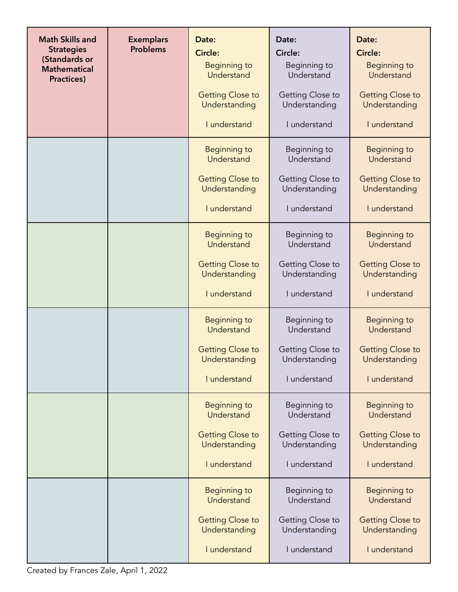| <b>Math Skills and</b><br><b>Strategies</b><br>(Standards or<br><b>Mathematical</b><br>Practices) | <b>Exemplars</b><br><b>Problems</b> | Date:<br><b>Circle:</b><br>Beginning to<br>Understand<br><b>Getting Close to</b><br>Understanding<br>I understand | Date:<br>Circle:<br>Beginning to<br>Understand<br>Getting Close to<br>Understanding<br>I understand | Date:<br>Circle:<br>Beginning to<br>Understand<br><b>Getting Close to</b><br>Understanding<br>I understand |
|---------------------------------------------------------------------------------------------------|-------------------------------------|-------------------------------------------------------------------------------------------------------------------|-----------------------------------------------------------------------------------------------------|------------------------------------------------------------------------------------------------------------|
|                                                                                                   |                                     | <b>Beginning to</b><br>Understand<br><b>Getting Close to</b><br>Understanding                                     | Beginning to<br>Understand<br>Getting Close to<br>Understanding                                     | <b>Beginning to</b><br>Understand<br><b>Getting Close to</b><br>Understanding                              |
|                                                                                                   |                                     | I understand<br>Beginning to                                                                                      | I understand<br>Beginning to                                                                        | I understand<br>Beginning to                                                                               |
|                                                                                                   |                                     | Understand<br><b>Getting Close to</b><br>Understanding<br>I understand                                            | Understand<br>Getting Close to<br>Understanding<br>I understand                                     | Understand<br><b>Getting Close to</b><br>Understanding<br>I understand                                     |
|                                                                                                   |                                     | <b>Beginning to</b><br>Understand<br><b>Getting Close to</b><br>Understanding                                     | Beginning to<br>Understand<br>Getting Close to<br>Understanding                                     | Beginning to<br>Understand<br><b>Getting Close to</b><br>Understanding                                     |
|                                                                                                   |                                     | I understand                                                                                                      | I understand                                                                                        | I understand                                                                                               |
|                                                                                                   |                                     | <b>Beginning to</b><br>Understand                                                                                 | Beginning to<br>Understand                                                                          | Beginning to<br>Understand                                                                                 |
|                                                                                                   |                                     | <b>Getting Close to</b><br>Understanding                                                                          | Getting Close to<br>Understanding                                                                   | <b>Getting Close to</b><br>Understanding                                                                   |
|                                                                                                   |                                     | I understand                                                                                                      | I understand                                                                                        | I understand                                                                                               |
|                                                                                                   |                                     | Beginning to<br>Understand                                                                                        | Beginning to<br>Understand                                                                          | Beginning to<br>Understand                                                                                 |
|                                                                                                   |                                     | <b>Getting Close to</b><br>Understanding                                                                          | Getting Close to<br>Understanding                                                                   | <b>Getting Close to</b><br>Understanding                                                                   |
|                                                                                                   |                                     | I understand                                                                                                      | I understand                                                                                        | I understand                                                                                               |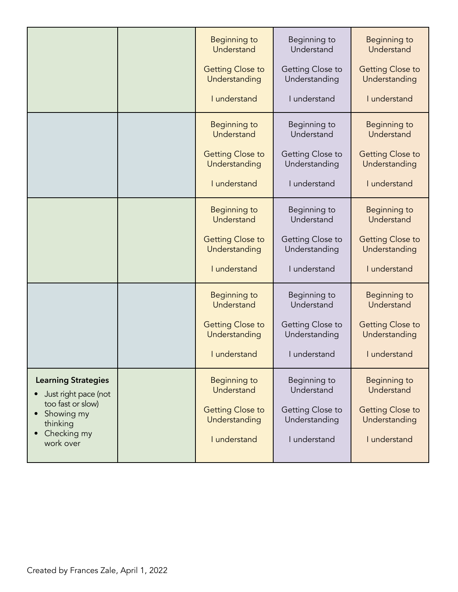|                                                                                                                               | Beginning to<br>Understand               | Beginning to<br>Understand        | Beginning to<br>Understand               |
|-------------------------------------------------------------------------------------------------------------------------------|------------------------------------------|-----------------------------------|------------------------------------------|
|                                                                                                                               | <b>Getting Close to</b><br>Understanding | Getting Close to<br>Understanding | <b>Getting Close to</b><br>Understanding |
|                                                                                                                               | I understand                             | I understand                      | I understand                             |
|                                                                                                                               | Beginning to<br>Understand               | Beginning to<br>Understand        | Beginning to<br>Understand               |
|                                                                                                                               | <b>Getting Close to</b><br>Understanding | Getting Close to<br>Understanding | <b>Getting Close to</b><br>Understanding |
|                                                                                                                               | I understand                             | I understand                      | I understand                             |
|                                                                                                                               | <b>Beginning to</b><br>Understand        | Beginning to<br>Understand        | Beginning to<br>Understand               |
|                                                                                                                               | <b>Getting Close to</b><br>Understanding | Getting Close to<br>Understanding | <b>Getting Close to</b><br>Understanding |
|                                                                                                                               | I understand                             | I understand                      | I understand                             |
|                                                                                                                               | Beginning to<br>Understand               | Beginning to<br>Understand        | <b>Beginning to</b><br>Understand        |
|                                                                                                                               | <b>Getting Close to</b><br>Understanding | Getting Close to<br>Understanding | <b>Getting Close to</b><br>Understanding |
|                                                                                                                               | I understand                             | I understand                      | I understand                             |
| <b>Learning Strategies</b><br>Just right pace (not<br>too fast or slow)<br>Showing my<br>thinking<br>Checking my<br>work over | <b>Beginning to</b><br>Understand        | Beginning to<br>Understand        | Beginning to<br>Understand               |
|                                                                                                                               | <b>Getting Close to</b><br>Understanding | Getting Close to<br>Understanding | <b>Getting Close to</b><br>Understanding |
|                                                                                                                               | I understand                             | I understand                      | I understand                             |